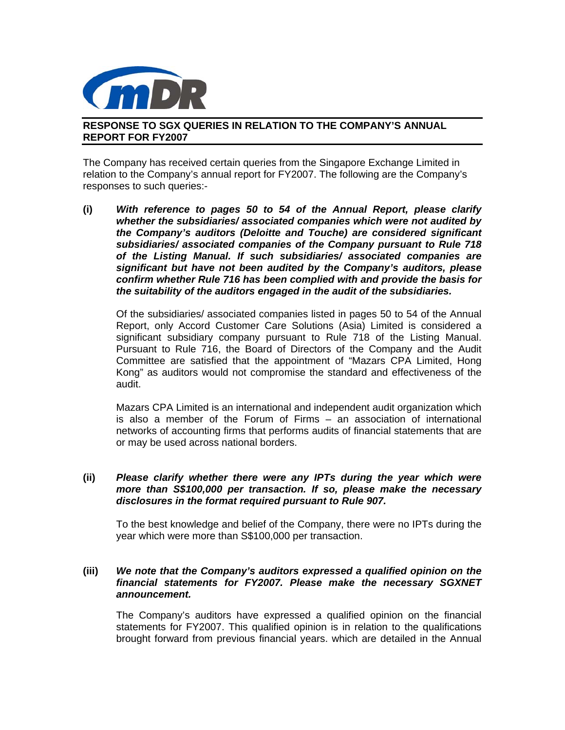

## **RESPONSE TO SGX QUERIES IN RELATION TO THE COMPANY'S ANNUAL REPORT FOR FY2007**

The Company has received certain queries from the Singapore Exchange Limited in relation to the Company's annual report for FY2007. The following are the Company's responses to such queries:-

**(i)** *With reference to pages 50 to 54 of the Annual Report, please clarify whether the subsidiaries/ associated companies which were not audited by the Company's auditors (Deloitte and Touche) are considered significant subsidiaries/ associated companies of the Company pursuant to Rule 718 of the Listing Manual. If such subsidiaries/ associated companies are significant but have not been audited by the Company's auditors, please confirm whether Rule 716 has been complied with and provide the basis for the suitability of the auditors engaged in the audit of the subsidiaries.* 

Of the subsidiaries/ associated companies listed in pages 50 to 54 of the Annual Report, only Accord Customer Care Solutions (Asia) Limited is considered a significant subsidiary company pursuant to Rule 718 of the Listing Manual. Pursuant to Rule 716, the Board of Directors of the Company and the Audit Committee are satisfied that the appointment of "Mazars CPA Limited, Hong Kong" as auditors would not compromise the standard and effectiveness of the audit.

Mazars CPA Limited is an international and independent audit organization which is also a member of the Forum of Firms – an association of international networks of accounting firms that performs audits of financial statements that are or may be used across national borders.

## **(ii)** *Please clarify whether there were any IPTs during the year which were more than S\$100,000 per transaction. If so, please make the necessary disclosures in the format required pursuant to Rule 907.*

To the best knowledge and belief of the Company, there were no IPTs during the year which were more than S\$100,000 per transaction.

## **(iii)** *We note that the Company's auditors expressed a qualified opinion on the financial statements for FY2007. Please make the necessary SGXNET announcement.*

The Company's auditors have expressed a qualified opinion on the financial statements for FY2007. This qualified opinion is in relation to the qualifications brought forward from previous financial years. which are detailed in the Annual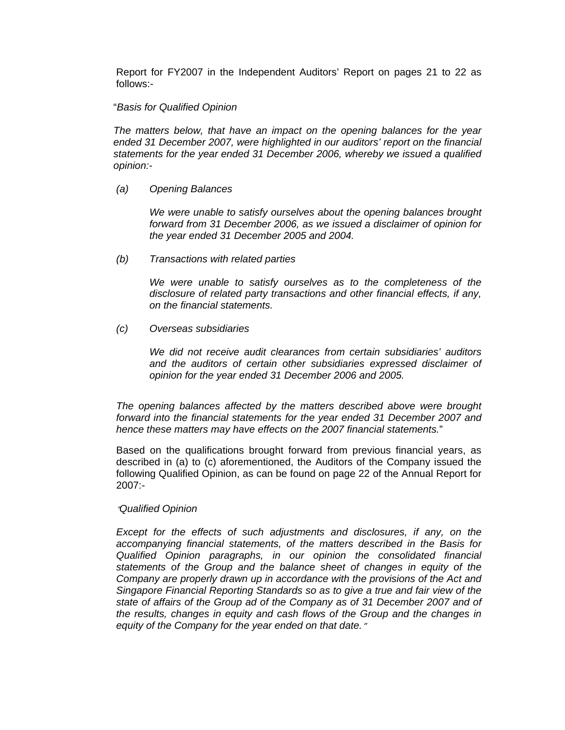Report for FY2007 in the Independent Auditors' Report on pages 21 to 22 as follows:-

#### "*Basis for Qualified Opinion*

*The matters below, that have an impact on the opening balances for the year ended 31 December 2007, were highlighted in our auditors' report on the financial statements for the year ended 31 December 2006, whereby we issued a qualified opinion:-* 

*(a) Opening Balances* 

*We were unable to satisfy ourselves about the opening balances brought forward from 31 December 2006, as we issued a disclaimer of opinion for the year ended 31 December 2005 and 2004.* 

*(b) Transactions with related parties* 

*We were unable to satisfy ourselves as to the completeness of the disclosure of related party transactions and other financial effects, if any, on the financial statements.* 

*(c) Overseas subsidiaries* 

*We did not receive audit clearances from certain subsidiaries' auditors and the auditors of certain other subsidiaries expressed disclaimer of opinion for the year ended 31 December 2006 and 2005.* 

*The opening balances affected by the matters described above were brought forward into the financial statements for the year ended 31 December 2007 and hence these matters may have effects on the 2007 financial statements.*"

Based on the qualifications brought forward from previous financial years, as described in (a) to (c) aforementioned, the Auditors of the Company issued the following Qualified Opinion, as can be found on page 22 of the Annual Report for 2007:-

### "*Qualified Opinion*

*Except for the effects of such adjustments and disclosures, if any, on the accompanying financial statements, of the matters described in the Basis for Qualified Opinion paragraphs, in our opinion the consolidated financial statements of the Group and the balance sheet of changes in equity of the Company are properly drawn up in accordance with the provisions of the Act and Singapore Financial Reporting Standards so as to give a true and fair view of the state of affairs of the Group ad of the Company as of 31 December 2007 and of the results, changes in equity and cash flows of the Group and the changes in equity of the Company for the year ended on that date.*"